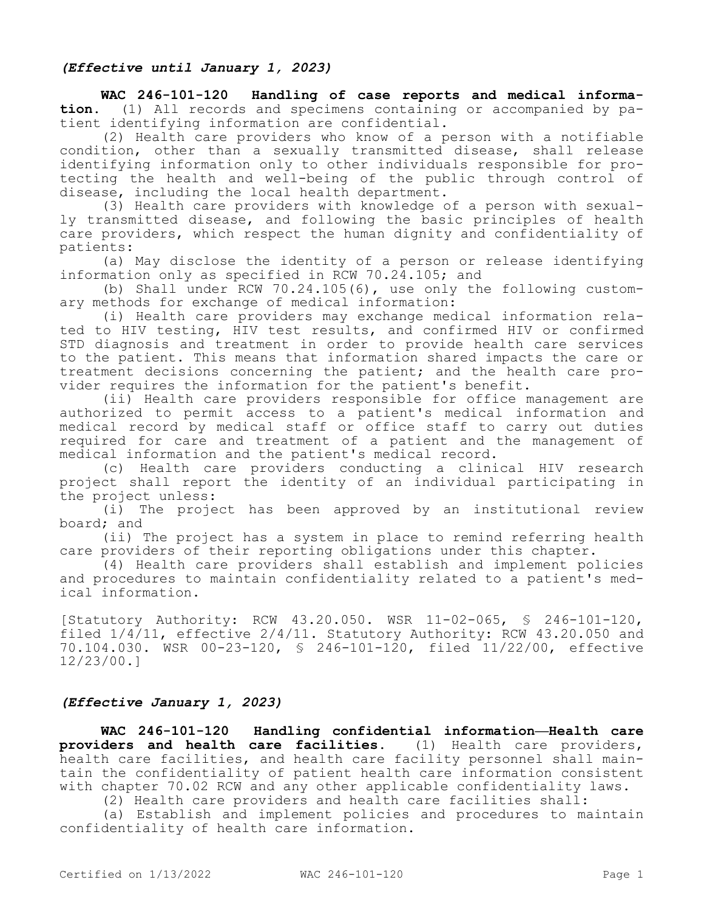## *(Effective until January 1, 2023)*

**WAC 246-101-120 Handling of case reports and medical information.** (1) All records and specimens containing or accompanied by patient identifying information are confidential.

(2) Health care providers who know of a person with a notifiable condition, other than a sexually transmitted disease, shall release identifying information only to other individuals responsible for protecting the health and well-being of the public through control of disease, including the local health department.

(3) Health care providers with knowledge of a person with sexually transmitted disease, and following the basic principles of health care providers, which respect the human dignity and confidentiality of patients:

(a) May disclose the identity of a person or release identifying information only as specified in RCW 70.24.105; and

(b) Shall under RCW 70.24.105(6), use only the following customary methods for exchange of medical information:

(i) Health care providers may exchange medical information related to HIV testing, HIV test results, and confirmed HIV or confirmed STD diagnosis and treatment in order to provide health care services to the patient. This means that information shared impacts the care or treatment decisions concerning the patient; and the health care provider requires the information for the patient's benefit.

(ii) Health care providers responsible for office management are authorized to permit access to a patient's medical information and medical record by medical staff or office staff to carry out duties required for care and treatment of a patient and the management of medical information and the patient's medical record.

(c) Health care providers conducting a clinical HIV research project shall report the identity of an individual participating in the project unless:

(i) The project has been approved by an institutional review board; and

(ii) The project has a system in place to remind referring health care providers of their reporting obligations under this chapter.

(4) Health care providers shall establish and implement policies and procedures to maintain confidentiality related to a patient's medical information.

[Statutory Authority: RCW 43.20.050. WSR 11-02-065, § 246-101-120, filed 1/4/11, effective 2/4/11. Statutory Authority: RCW 43.20.050 and 70.104.030. WSR 00-23-120, § 246-101-120, filed 11/22/00, effective 12/23/00.]

## *(Effective January 1, 2023)*

**WAC 246-101-120 Handling confidential information—Health care providers and health care facilities.** (1) Health care providers, health care facilities, and health care facility personnel shall maintain the confidentiality of patient health care information consistent with chapter 70.02 RCW and any other applicable confidentiality laws.

(2) Health care providers and health care facilities shall:

(a) Establish and implement policies and procedures to maintain confidentiality of health care information.